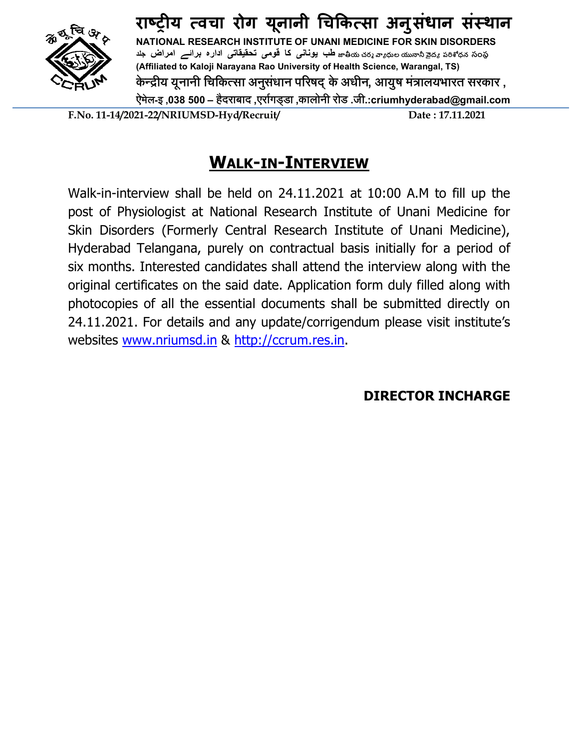

**राçĚȣय ×वचा रोग यूनानी ͬचͩक×सा अनुसंधान संèथान NATIONAL RESEARCH INSTITUTE OF UNANI MEDICINE FOR SKIN DISORDERS సంసब ధనࢬࡍప దङ࢙ ߗߕ࠾ ల߇ ङ చరघ యޓ܉ طب یونانی کا قومی تحقیقاتی اداره برائے امراض جلد (Affiliated to Kaloji Narayana Rao University of Health Science, Warangal, TS) के Æþीय यूनानी िचिकÂसा अनुसंधान पåरषद् के अधीन, आयुष मंýालयभारत सरकार , ऐमेल-इ ,038 500– हैदराबाद ,एराªगड्डा ,कालोनी रोड .जी.:criumhyderabad@gmail.com**

**F.No. 11-14/2021-22/NRIUMSD-Hyd/Recruit/ Date : 17.11.2021**

# **WALK-IN-INTERVIEW**

Walk-in-interview shall be held on 24.11.2021 at 10:00 A.M to fill up the post of Physiologist at National Research Institute of Unani Medicine for Skin Disorders (Formerly Central Research Institute of Unani Medicine), Hyderabad Telangana, purely on contractual basis initially for a period of six months. Interested candidates shall attend the interview along with the original certificates on the said date. Application form duly filled along with photocopies of all the essential documents shall be submitted directly on 24.11.2021. For details and any update/corrigendum please visit institute's websites www.nriumsd.in & http://ccrum.res.in.

**DIRECTOR INCHARGE**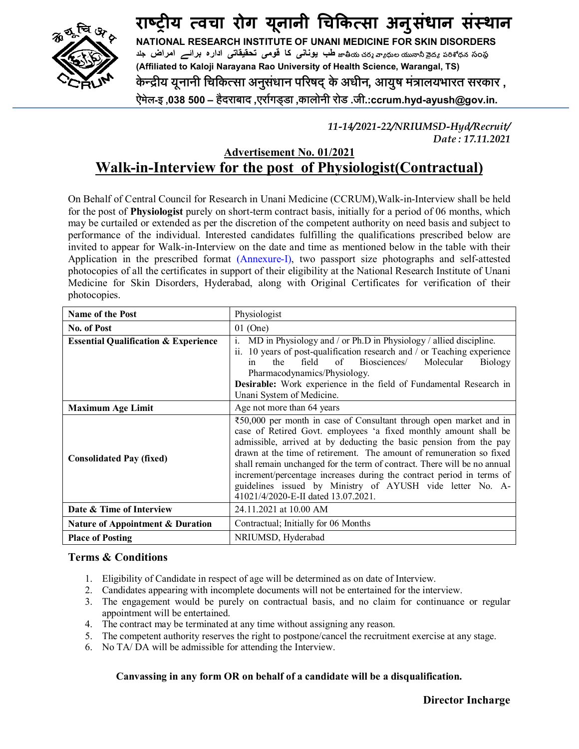

**राçĚȣय ×वचा रोग यूनानी ͬचͩक×सा अनुसंधान संèथान NATIONAL RESEARCH INSTITUTE OF UNANI MEDICINE FOR SKIN DISORDERS**  $\bf{a}$ هُ సంశీధన సంస్థ (کشو $\bf{a}$ ه میل یونانی کا قومی تحقیقاتی اداره برائے امراض جلد **(Affiliated to Kaloji Narayana Rao University of Health Science, Warangal, TS) के Æþीय यूनानी िचिकÂसा अनुसंधान पåरषद् के अधीन, आयुष मंýालयभारत सरकार , ऐमेल-इ ,038 500– हैदराबाद ,एराªगड्डा ,कालोनी रोड .जी.:ccrum.hyd-ayush@gov.in.**

> *11-14/2021-22/NRIUMSD-Hyd/Recruit/ Date : 17.11.2021*

## **Advertisement No. 01/2021 Walk-in-Interview for the post of Physiologist(Contractual)**

On Behalf of Central Council for Research in Unani Medicine (CCRUM),Walk-in-Interview shall be held for the post of **Physiologist** purely on short-term contract basis, initially for a period of 06 months, which may be curtailed or extended as per the discretion of the competent authority on need basis and subject to performance of the individual. Interested candidates fulfilling the qualifications prescribed below are invited to appear for Walk-in-Interview on the date and time as mentioned below in the table with their Application in the prescribed format (Annexure-I), two passport size photographs and self-attested photocopies of all the certificates in support of their eligibility at the National Research Institute of Unani Medicine for Skin Disorders, Hyderabad, along with Original Certificates for verification of their photocopies.

| <b>Name of the Post</b>                                                                                                                                                                                                                                                                                                                                                                                                                                                                                                                                                          | Physiologist                                                                                                                                                                                                                                                                                                                                                 |  |  |  |  |
|----------------------------------------------------------------------------------------------------------------------------------------------------------------------------------------------------------------------------------------------------------------------------------------------------------------------------------------------------------------------------------------------------------------------------------------------------------------------------------------------------------------------------------------------------------------------------------|--------------------------------------------------------------------------------------------------------------------------------------------------------------------------------------------------------------------------------------------------------------------------------------------------------------------------------------------------------------|--|--|--|--|
| No. of Post                                                                                                                                                                                                                                                                                                                                                                                                                                                                                                                                                                      | $01$ (One)                                                                                                                                                                                                                                                                                                                                                   |  |  |  |  |
| <b>Essential Qualification &amp; Experience</b>                                                                                                                                                                                                                                                                                                                                                                                                                                                                                                                                  | MD in Physiology and / or Ph.D in Physiology / allied discipline.<br>i.<br>ii. 10 years of post-qualification research and $/$ or Teaching experience<br>field<br>of<br>Biosciences/<br>Molecular<br>the<br>Biology<br>in<br>Pharmacodynamics/Physiology.<br>Desirable: Work experience in the field of Fundamental Research in<br>Unani System of Medicine. |  |  |  |  |
| <b>Maximum Age Limit</b>                                                                                                                                                                                                                                                                                                                                                                                                                                                                                                                                                         | Age not more than 64 years                                                                                                                                                                                                                                                                                                                                   |  |  |  |  |
| ₹50,000 per month in case of Consultant through open market and in<br>case of Retired Govt. employees 'a fixed monthly amount shall be<br>admissible, arrived at by deducting the basic pension from the pay<br>drawn at the time of retirement. The amount of remuneration so fixed<br><b>Consolidated Pay (fixed)</b><br>shall remain unchanged for the term of contract. There will be no annual<br>increment/percentage increases during the contract period in terms of<br>guidelines issued by Ministry of AYUSH vide letter No. A-<br>41021/4/2020-E-II dated 13.07.2021. |                                                                                                                                                                                                                                                                                                                                                              |  |  |  |  |
| Date & Time of Interview                                                                                                                                                                                                                                                                                                                                                                                                                                                                                                                                                         | 24.11.2021 at 10.00 AM                                                                                                                                                                                                                                                                                                                                       |  |  |  |  |
| <b>Nature of Appointment &amp; Duration</b>                                                                                                                                                                                                                                                                                                                                                                                                                                                                                                                                      | Contractual; Initially for 06 Months                                                                                                                                                                                                                                                                                                                         |  |  |  |  |
| <b>Place of Posting</b>                                                                                                                                                                                                                                                                                                                                                                                                                                                                                                                                                          | NRIUMSD, Hyderabad                                                                                                                                                                                                                                                                                                                                           |  |  |  |  |

### **Terms & Conditions**

- 1. Eligibility of Candidate in respect of age will be determined as on date of Interview.
- 2. Candidates appearing with incomplete documents will not be entertained for the interview.
- 3. The engagement would be purely on contractual basis, and no claim for continuance or regular appointment will be entertained.
- 4. The contract may be terminated at any time without assigning any reason.
- 5. The competent authority reserves the right to postpone/cancel the recruitment exercise at any stage.
- 6. No TA/ DA will be admissible for attending the Interview.

#### **Canvassing in any form OR on behalf of a candidate will be a disqualification.**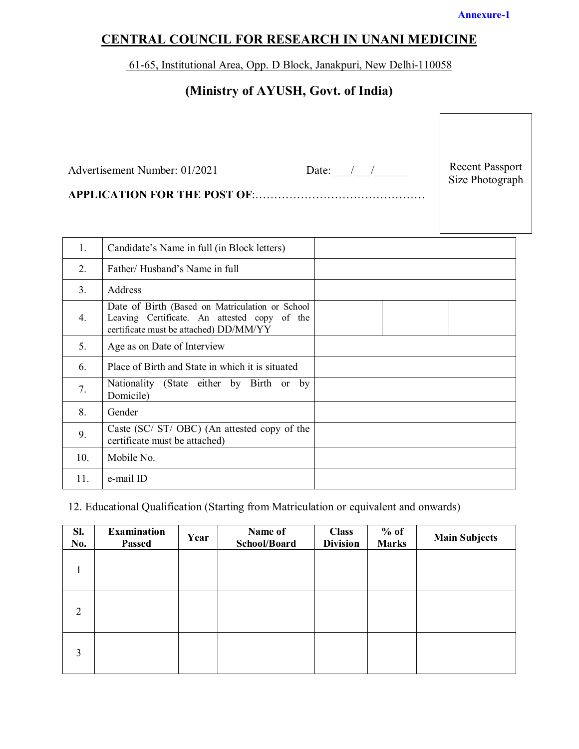#### **Annexure-1**

# **CENTRAL COUNCIL FOR RESEARCH IN UNANI MEDICINE**

61-65, Institutional Area, Opp. D Block, Janakpuri, New Delhi-110058

# **(Ministry of AYUSH, Govt. of India)**

|     | Advertisement Number: 01/2021<br><b>APPLICATION FOR THE POST OF:</b>                                                                      | Date: $\frac{1}{\sqrt{1-\frac{1}{2}}}$ | <b>Recent Passport</b><br>Size Photograph |
|-----|-------------------------------------------------------------------------------------------------------------------------------------------|----------------------------------------|-------------------------------------------|
| 1.  | Candidate's Name in full (in Block letters)                                                                                               |                                        |                                           |
| 2.  | Father/Husband's Name in full                                                                                                             |                                        |                                           |
| 3.  | Address                                                                                                                                   |                                        |                                           |
| 4.  | Date of Birth (Based on Matriculation or School<br>Leaving Certificate. An attested copy of the<br>certificate must be attached) DD/MM/YY |                                        |                                           |
| 5.  | Age as on Date of Interview                                                                                                               |                                        |                                           |
| 6.  | Place of Birth and State in which it is situated                                                                                          |                                        |                                           |
| 7.  | Nationality (State either by Birth or by<br>Domicile)                                                                                     |                                        |                                           |
| 8.  | Gender                                                                                                                                    |                                        |                                           |
| 9.  | Caste (SC/ ST/ OBC) (An attested copy of the<br>certificate must be attached)                                                             |                                        |                                           |
| 10. | Mobile No.                                                                                                                                |                                        |                                           |
| 11. | e-mail ID                                                                                                                                 |                                        |                                           |

### 12. Educational Qualification (Starting from Matriculation or equivalent and onwards)

| Sl.<br>No. | <b>Examination</b><br><b>Passed</b> | Year | Name of<br>School/Board | <b>Class</b><br><b>Division</b> | $%$ of<br><b>Marks</b> | <b>Main Subjects</b> |
|------------|-------------------------------------|------|-------------------------|---------------------------------|------------------------|----------------------|
| 1          |                                     |      |                         |                                 |                        |                      |
| 2          |                                     |      |                         |                                 |                        |                      |
| 3          |                                     |      |                         |                                 |                        |                      |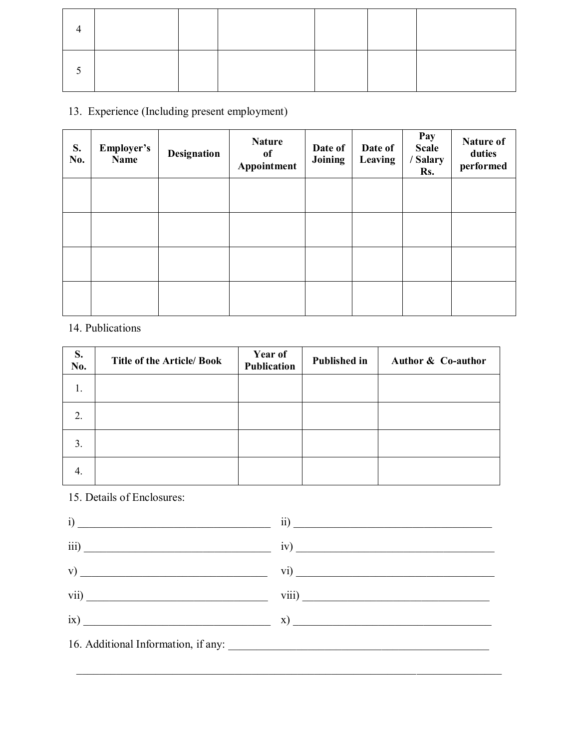### 13. Experience (Including present employment)

| S.<br>No. | Employer's<br>Name | <b>Designation</b> | <b>Nature</b><br>of<br>Appointment | Date of<br>Joining | Date of<br>Leaving | Pay<br><b>Scale</b><br><b>Salary</b><br>Rs. | Nature of<br>duties<br>performed |
|-----------|--------------------|--------------------|------------------------------------|--------------------|--------------------|---------------------------------------------|----------------------------------|
|           |                    |                    |                                    |                    |                    |                                             |                                  |
|           |                    |                    |                                    |                    |                    |                                             |                                  |
|           |                    |                    |                                    |                    |                    |                                             |                                  |
|           |                    |                    |                                    |                    |                    |                                             |                                  |

### 14. Publications

| S.<br>No. | <b>Title of the Article/ Book</b> | Year of<br><b>Publication</b> | <b>Published in</b> | Author & Co-author |
|-----------|-----------------------------------|-------------------------------|---------------------|--------------------|
| 1.        |                                   |                               |                     |                    |
| 2.        |                                   |                               |                     |                    |
| 3.        |                                   |                               |                     |                    |
| 4.        |                                   |                               |                     |                    |

### 15. Details of Enclosures:



\_\_\_\_\_\_\_\_\_\_\_\_\_\_\_\_\_\_\_\_\_\_\_\_\_\_\_\_\_\_\_\_\_\_\_\_\_\_\_\_\_\_\_\_\_\_\_\_\_\_\_\_\_\_\_\_\_\_\_\_\_\_\_\_\_\_\_\_\_\_\_\_\_\_\_